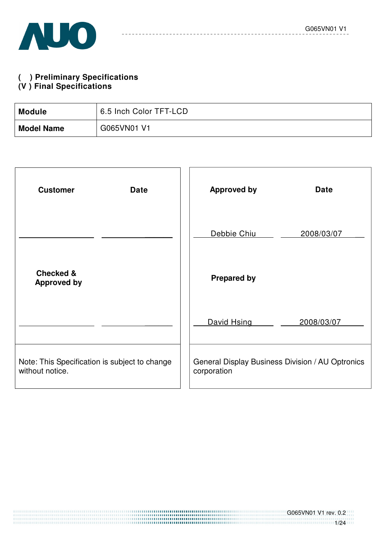#### **( ) Preliminary Specifications (V ) Final Specifications**

| <b>Module</b>     | 6.5 Inch Color TFT-LCD |
|-------------------|------------------------|
| <b>Model Name</b> | G065VN01 V1            |

| <b>Customer</b><br><b>Date</b>                                   | <b>Approved by</b>                                              | <b>Date</b> |
|------------------------------------------------------------------|-----------------------------------------------------------------|-------------|
|                                                                  | Debbie Chiu                                                     | 2008/03/07  |
| <b>Checked &amp;</b><br><b>Approved by</b>                       | <b>Prepared by</b>                                              |             |
|                                                                  | David Hsing                                                     | 2008/03/07  |
| Note: This Specification is subject to change<br>without notice. | General Display Business Division / AU Optronics<br>corporation |             |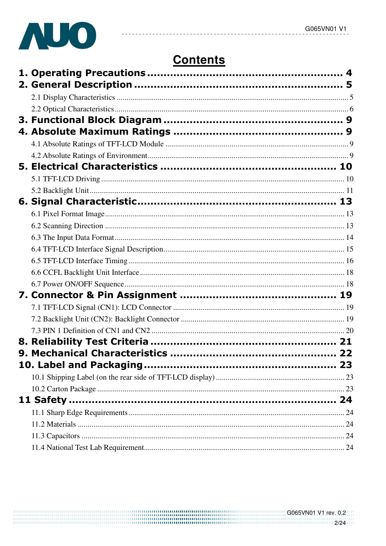

# **Contents**

 $- - - - - -$ 

<u> - - - - - - - - -</u>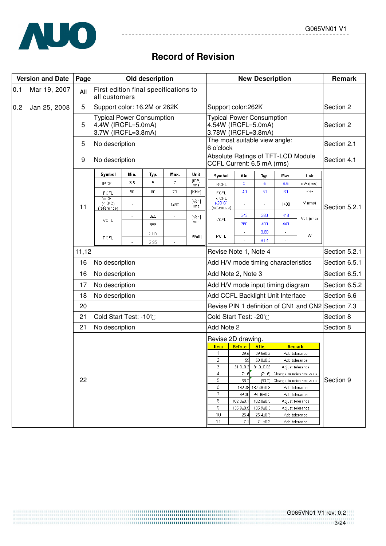

# **Record of Revision**

 $- - - -$ 

|     | <b>Version and Date</b> | Page  |                                                                              |                          | Old description      |                                            |                           |                                                                                |                | <b>New Description</b> |                                     |               | Remark        |  |
|-----|-------------------------|-------|------------------------------------------------------------------------------|--------------------------|----------------------|--------------------------------------------|---------------------------|--------------------------------------------------------------------------------|----------------|------------------------|-------------------------------------|---------------|---------------|--|
| 0.1 | Mar 19, 2007            | All   | First edition final specifications to<br>all customers                       |                          |                      |                                            |                           |                                                                                |                |                        |                                     |               |               |  |
| 0.2 | Jan 25, 2008            | 5     | Support color: 16.2M or 262K                                                 |                          |                      |                                            |                           | Support color:262K                                                             | Section 2      |                        |                                     |               |               |  |
|     |                         | 5     | <b>Typical Power Consumption</b><br>4.4W (IRCFL=5.0mA)<br>3.7W (IRCFL=3.8mA) |                          |                      |                                            |                           | <b>Typical Power Consumption</b><br>4.54W (IRCFL=5.0mA)<br>3.78W (IRCFL=3.8mA) |                | Section 2              |                                     |               |               |  |
|     |                         | 5     | No description                                                               |                          |                      |                                            |                           | The most suitable view angle:<br>6 o'clock                                     |                | Section 2.1            |                                     |               |               |  |
|     |                         | 9     | No description                                                               |                          |                      |                                            |                           | CCFL Current: 6.5 mA (rms)                                                     |                |                        | Absolute Ratings of TFT-LCD Module  |               | Section 4.1   |  |
|     |                         |       | Symbol                                                                       | Min.                     | Тур.                 | Max.                                       | Unit                      | Symbol                                                                         | Min.           | Typ.                   | Max.                                | Unit          |               |  |
|     |                         |       | <b>IRCFL</b>                                                                 | 3.5                      | 5                    | 7                                          | [mA]<br>rms               | <b>IRCFL</b>                                                                   | $\overline{2}$ | 5                      | 6.5                                 | mA (rms)      |               |  |
|     |                         |       | FCFL                                                                         | 50                       | 60                   | 70                                         | [KHz]                     | FCFL                                                                           | 40             | 50                     | 60                                  | KHz           |               |  |
|     | 11                      |       | <b>ViCFL</b><br>$(-10^{\circ}C)$<br>(reference)                              |                          |                      | 1430                                       | $[$ $\vee$ olt $]$<br>rms | <b>ViCFL</b><br>$(-20°C)$<br>(reference)                                       |                |                        | 1430                                | $V$ (rms)     | Section 5.2.1 |  |
|     |                         |       | <b>VCFL</b>                                                                  | $\overline{\phantom{a}}$ | 365<br>386           | $\blacksquare$<br>ä,                       | [Vert]<br>rms             | VCFL                                                                           | 342<br>360     | 380<br>400             | 418<br>440                          | Volt (rms)    |               |  |
|     |                         |       | PCFL                                                                         | $\overline{\phantom{a}}$ | 3.65<br>2.95         | $\overline{\phantom{a}}$                   | [Watt]                    | PCFL                                                                           | $\overline{a}$ | 3.80<br>3.04           |                                     | W             |               |  |
|     |                         | 11,12 |                                                                              |                          |                      |                                            |                           |                                                                                |                | Revise Note 1, Note 4  |                                     |               | Section 5.2.1 |  |
|     |                         | 16    | No description                                                               |                          |                      |                                            |                           |                                                                                |                |                        | Add H/V mode timing characteristics |               | Section 6.5.1 |  |
|     |                         | 16    | No description                                                               |                          |                      |                                            |                           | Add Note 2, Note 3                                                             |                | Section 6.5.1          |                                     |               |               |  |
|     |                         | 17    | No description                                                               |                          |                      |                                            |                           | Add H/V mode input timing diagram                                              | Section 6.5.2  |                        |                                     |               |               |  |
|     |                         | 18    | No description                                                               |                          |                      |                                            |                           | Add CCFL Backlight Unit Interface                                              | Section 6.6    |                        |                                     |               |               |  |
|     |                         | 20    |                                                                              |                          |                      |                                            |                           | Revise PIN 1 definition of CN1 and CN2                                         | Section 7.3    |                        |                                     |               |               |  |
|     |                         | 21    | Cold Start Test: -10°C                                                       |                          |                      |                                            |                           | Cold Start Test: -20°C                                                         | Section 8      |                        |                                     |               |               |  |
|     |                         | 21    | No description                                                               |                          |                      |                                            |                           | Add Note 2                                                                     | Section 8      |                        |                                     |               |               |  |
|     |                         |       |                                                                              |                          |                      |                                            |                           |                                                                                |                |                        |                                     |               |               |  |
|     |                         |       |                                                                              |                          |                      |                                            |                           | Revise 2D drawing.<br><b>Item</b>                                              | <b>Before</b>  | After                  | Remark                              |               |               |  |
|     |                         |       |                                                                              |                          |                      |                                            |                           | 1                                                                              | 29.5           | 29.5±0.3               |                                     | Add tolerance |               |  |
|     |                         |       |                                                                              |                          |                      |                                            |                           | $\overline{2}$                                                                 | 59             | 59.0±0.3               | Add tolerance                       |               |               |  |
|     |                         |       |                                                                              |                          |                      |                                            |                           | 3                                                                              | 31.0±0.3       | 31.0±0.03              | Adjust tolerance                    |               |               |  |
|     |                         | 22    |                                                                              | 4                        | 5                    | 71.6                                       | (71.6)                    | Change to reference value                                                      |                | Section 9              |                                     |               |               |  |
|     |                         |       | 6                                                                            | 33.2<br>132.48           | (33.2)<br>132.48±0.3 | Change to reference value<br>Add tolerance |                           |                                                                                |                |                        |                                     |               |               |  |
|     |                         |       |                                                                              |                          |                      |                                            |                           | 7                                                                              | 99.36          | 99.36±0.3              |                                     | Add tolerance |               |  |
|     |                         |       |                                                                              |                          |                      |                                            |                           | 8                                                                              | 102.8±0.       | 102.8±0.3              | Adjust tolerance                    |               |               |  |
|     |                         |       |                                                                              |                          |                      |                                            |                           | 9                                                                              | 135.9±0.5      | 135.9±0.3              | Adjust tolerance                    |               |               |  |
|     |                         | 10    |                                                                              |                          |                      | 25.4                                       | 25.4±0.3                  |                                                                                | Add tolerance  |                        |                                     |               |               |  |
|     |                         |       |                                                                              |                          |                      |                                            |                           | 11                                                                             | 7.1            | $7.1 + 0.3$            | Add tolerance                       |               |               |  |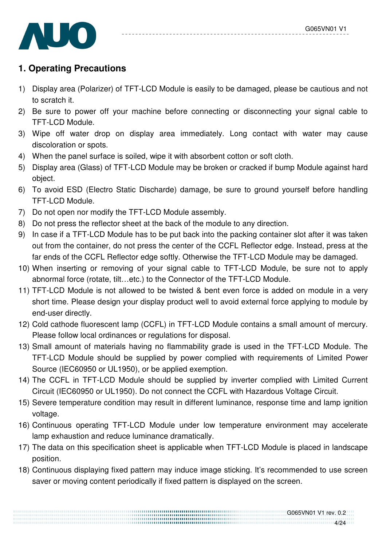

# **1. Operating Precautions**

- 1) Display area (Polarizer) of TFT-LCD Module is easily to be damaged, please be cautious and not to scratch it.
- 2) Be sure to power off your machine before connecting or disconnecting your signal cable to TFT-LCD Module.
- 3) Wipe off water drop on display area immediately. Long contact with water may cause discoloration or spots.
- 4) When the panel surface is soiled, wipe it with absorbent cotton or soft cloth.
- 5) Display area (Glass) of TFT-LCD Module may be broken or cracked if bump Module against hard object.
- 6) To avoid ESD (Electro Static Discharde) damage, be sure to ground yourself before handling TFT-LCD Module.
- 7) Do not open nor modify the TFT-LCD Module assembly.
- 8) Do not press the reflector sheet at the back of the module to any direction.
- 9) In case if a TFT-LCD Module has to be put back into the packing container slot after it was taken out from the container, do not press the center of the CCFL Reflector edge. Instead, press at the far ends of the CCFL Reflector edge softly. Otherwise the TFT-LCD Module may be damaged.
- 10) When inserting or removing of your signal cable to TFT-LCD Module, be sure not to apply abnormal force (rotate, tilt…etc.) to the Connector of the TFT-LCD Module.
- 11) TFT-LCD Module is not allowed to be twisted & bent even force is added on module in a very short time. Please design your display product well to avoid external force applying to module by end-user directly.
- 12) Cold cathode fluorescent lamp (CCFL) in TFT-LCD Module contains a small amount of mercury. Please follow local ordinances or regulations for disposal.
- 13) Small amount of materials having no flammability grade is used in the TFT-LCD Module. The TFT-LCD Module should be supplied by power complied with requirements of Limited Power Source (IEC60950 or UL1950), or be applied exemption.
- 14) The CCFL in TFT-LCD Module should be supplied by inverter complied with Limited Current Circuit (IEC60950 or UL1950). Do not connect the CCFL with Hazardous Voltage Circuit.
- 15) Severe temperature condition may result in different luminance, response time and lamp ignition voltage.
- 16) Continuous operating TFT-LCD Module under low temperature environment may accelerate lamp exhaustion and reduce luminance dramatically.
- 17) The data on this specification sheet is applicable when TFT-LCD Module is placed in landscape position.
- 18) Continuous displaying fixed pattern may induce image sticking. It's recommended to use screen saver or moving content periodically if fixed pattern is displayed on the screen.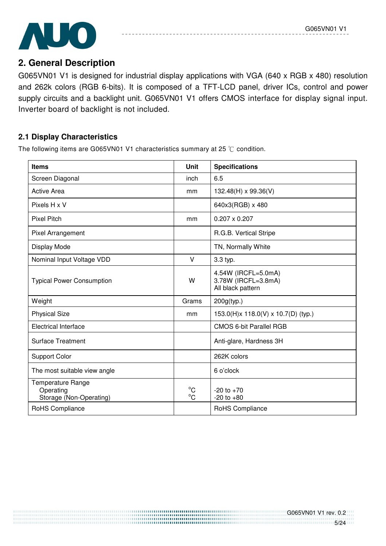

# **2. General Description**

G065VN01 V1 is designed for industrial display applications with VGA (640 x RGB x 480) resolution and 262k colors (RGB 6-bits). It is composed of a TFT-LCD panel, driver ICs, control and power supply circuits and a backlight unit. G065VN01 V1 offers CMOS interface for display signal input. Inverter board of backlight is not included.

#### **2.1 Display Characteristics**

The following items are G065VN01 V1 characteristics summary at 25  $\degree$ C condition.

| <b>Items</b>                                                     | <b>Unit</b>                 | <b>Specifications</b>                                           |
|------------------------------------------------------------------|-----------------------------|-----------------------------------------------------------------|
| Screen Diagonal                                                  | inch                        | 6.5                                                             |
| <b>Active Area</b>                                               | mm                          | 132.48(H) x 99.36(V)                                            |
| Pixels H x V                                                     |                             | 640x3(RGB) x 480                                                |
| <b>Pixel Pitch</b>                                               | mm                          | $0.207 \times 0.207$                                            |
| Pixel Arrangement                                                |                             | R.G.B. Vertical Stripe                                          |
| Display Mode                                                     |                             | TN, Normally White                                              |
| Nominal Input Voltage VDD                                        | V                           | 3.3 typ.                                                        |
| <b>Typical Power Consumption</b>                                 | W                           | 4.54W (IRCFL=5.0mA)<br>3.78W (IRCFL=3.8mA)<br>All black pattern |
| Weight                                                           | Grams                       | 200g(typ.)                                                      |
| <b>Physical Size</b>                                             | mm                          | 153.0(H)x 118.0(V) x 10.7(D) (typ.)                             |
| <b>Electrical Interface</b>                                      |                             | <b>CMOS 6-bit Parallel RGB</b>                                  |
| <b>Surface Treatment</b>                                         |                             | Anti-glare, Hardness 3H                                         |
| <b>Support Color</b>                                             |                             | 262K colors                                                     |
| The most suitable view angle                                     |                             | 6 o'clock                                                       |
| <b>Temperature Range</b><br>Operating<br>Storage (Non-Operating) | $^{\circ}C$<br>$^{\circ}$ C | $-20$ to $+70$<br>$-20$ to $+80$                                |
| RoHS Compliance                                                  |                             | RoHS Compliance                                                 |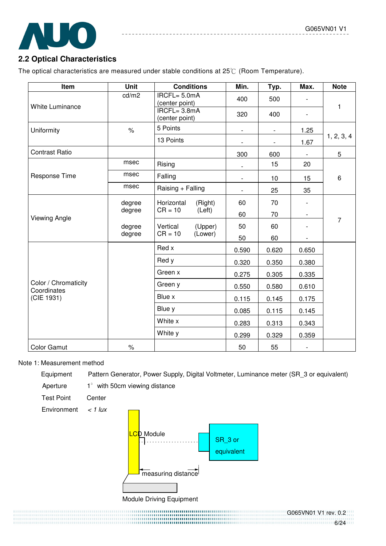

## **2.2 Optical Characteristics**

The optical characteristics are measured under stable conditions at 25°C (Room Temperature).

| Item                                | Unit   | <b>Conditions</b>                 | Min.                     | Typ.                     | Max.                     | <b>Note</b>    |  |  |
|-------------------------------------|--------|-----------------------------------|--------------------------|--------------------------|--------------------------|----------------|--|--|
| <b>White Luminance</b>              | cd/m2  | $IRCFL = 5.0mA$<br>(center point) | 400                      | 500                      |                          | 1              |  |  |
|                                     |        | $IRCFL = 3.8mA$<br>(center point) | 320                      | 400                      | $\overline{\phantom{0}}$ |                |  |  |
| Uniformity                          | $\%$   | 5 Points                          | $\overline{\phantom{a}}$ | $\overline{\phantom{0}}$ | 1.25                     |                |  |  |
|                                     |        | 13 Points                         |                          | $\overline{\phantom{a}}$ | 1.67                     | 1, 2, 3, 4     |  |  |
| <b>Contrast Ratio</b>               |        |                                   | 300                      | 600                      |                          | 5              |  |  |
|                                     | msec   | Rising                            | $\overline{\phantom{a}}$ | 15                       | 20                       |                |  |  |
| Response Time                       | msec   | Falling                           | $\overline{\phantom{a}}$ | 10                       | 15                       | 6              |  |  |
|                                     | msec   | Raising + Falling                 |                          | 25                       | 35                       |                |  |  |
|                                     | degree | Horizontal<br>(Right)             | 60                       | 70                       |                          |                |  |  |
| <b>Viewing Angle</b>                | degree | $CR = 10$<br>(Left)               | 60                       | 70                       |                          |                |  |  |
|                                     | degree | Vertical<br>(Upper)               | 50                       | 60                       |                          | $\overline{7}$ |  |  |
|                                     | degree | $CR = 10$<br>(Lower)              | 50                       | 60                       |                          |                |  |  |
|                                     |        | Red x                             | 0.590                    | 0.620                    | 0.650                    |                |  |  |
|                                     |        | Red y                             | 0.320                    | 0.350                    | 0.380                    |                |  |  |
|                                     |        | Green x                           | 0.275                    | 0.305                    | 0.335                    |                |  |  |
| Color / Chromaticity<br>Coordinates |        | Green y                           | 0.550                    | 0.580                    | 0.610                    |                |  |  |
| (CIE 1931)                          |        | Blue x                            | 0.115                    | 0.145                    | 0.175                    |                |  |  |
|                                     |        | Blue y                            | 0.085                    | 0.115                    | 0.145                    |                |  |  |
|                                     |        | White x                           | 0.283                    | 0.313                    | 0.343                    |                |  |  |
|                                     |        | White y                           | 0.299                    | 0.329                    | 0.359                    |                |  |  |
| Color Gamut                         | $\%$   |                                   | 50                       | 55                       | $\overline{\phantom{a}}$ |                |  |  |

#### Note 1: Measurement method

Equipment Pattern Generator, Power Supply, Digital Voltmeter, Luminance meter (SR\_3 or equivalent)

Aperture  $1^\circ$  with 50cm viewing distance

Test Point Center



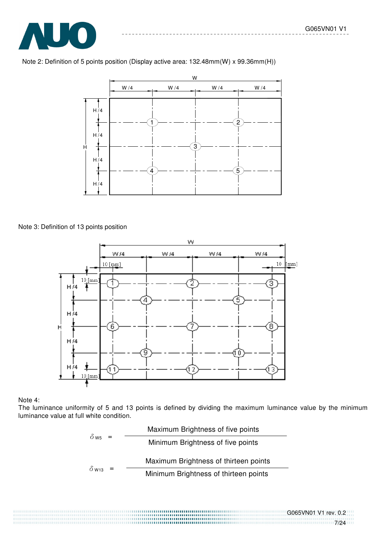

Note 2: Definition of 5 points position (Display active area: 132.48mm(W) x 99.36mm(H))



Note 3: Definition of 13 points position



#### Note 4:

The luminance uniformity of 5 and 13 points is defined by dividing the maximum luminance value by the minimum luminance value at full white condition.

| $\delta_{\text{W5}} =$                | Maximum Brightness of five points     |
|---------------------------------------|---------------------------------------|
| Minimum Brightness of five points     |                                       |
| $\delta_{\text{W13}} =$               | Maximum Brightness of thirteen points |
| Minimum Brightness of thirteen points |                                       |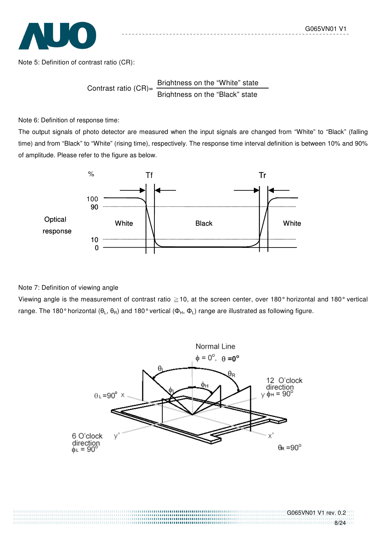

Note 5: Definition of contrast ratio (CR):

Contrast ratio  $(CR)$ = Brightness on the "White" state Brightness on the "Black" state

Note 6: Definition of response time:

The output signals of photo detector are measured when the input signals are changed from "White" to "Black" (falling time) and from "Black" to "White" (rising time), respectively. The response time interval definition is between 10% and 90% of amplitude. Please refer to the figure as below.



Note 7: Definition of viewing angle

Viewing angle is the measurement of contrast ratio  $\geq$  10, at the screen center, over 180° horizontal and 180° vertical range. The 180° horizontal ( $\theta_L$ ,  $\theta_R$ ) and 180° vertical ( $\Phi_H$ ,  $\Phi_L$ ) range are illustrated as following figure.

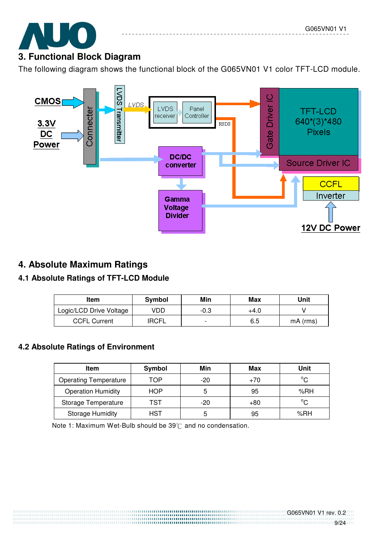# **3. Functional Block Diagram**

The following diagram shows the functional block of the G065VN01 V1 color TFT-LCD module.



# **4. Absolute Maximum Ratings**

# **4.1 Absolute Ratings of TFT-LCD Module**

| Item                    | <b>Symbol</b> | Min                      | Max  | Unit       |
|-------------------------|---------------|--------------------------|------|------------|
| Logic/LCD Drive Voltage | VDD           | -0.3                     | +4.0 |            |
| <b>CCFL Current</b>     | <b>IRCFL</b>  | $\overline{\phantom{0}}$ | 6.5  | $mA$ (rms) |

# **4.2 Absolute Ratings of Environment**

| Item                         | Symbol | Min   | Max   | Unit        |
|------------------------------|--------|-------|-------|-------------|
| <b>Operating Temperature</b> | TOP    | $-20$ | $+70$ | $^{\circ}C$ |
| <b>Operation Humidity</b>    | HOP    |       | 95    | %RH         |
| Storage Temperature          | TST    | $-20$ | +80   | $^{\circ}C$ |
| <b>Storage Humidity</b>      | HST    |       | 95    | %RH         |

Note 1: Maximum Wet-Bulb should be  $39^{\circ}$  and no condensation.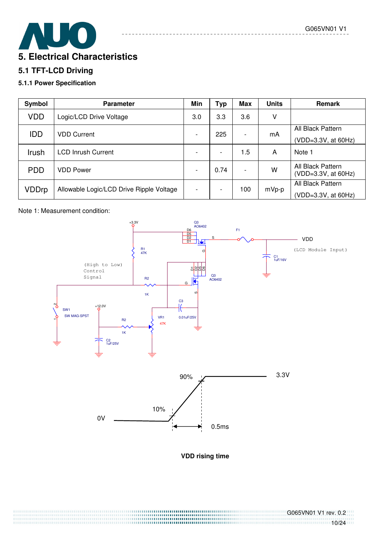# **5. Electrical Characteristics**

#### **5.1 TFT-LCD Driving**

#### **5.1.1 Power Specification**

| Symbol       | <b>Parameter</b>                         | Min                      | Тур                      | <b>Max</b>               | <b>Units</b> | Remark                                     |
|--------------|------------------------------------------|--------------------------|--------------------------|--------------------------|--------------|--------------------------------------------|
| <b>VDD</b>   | Logic/LCD Drive Voltage                  | 3.0                      | 3.3                      | 3.6                      | ٧            |                                            |
| <b>IDD</b>   | <b>VDD Current</b>                       | $\overline{\phantom{a}}$ | 225                      |                          | mA           | All Black Pattern<br>(VDD=3.3V, at 60Hz)   |
| Irush        | <b>LCD Inrush Current</b>                |                          | ۰                        | 1.5                      | A            | Note 1                                     |
| <b>PDD</b>   | <b>VDD Power</b>                         | ۰.                       | 0.74                     | $\overline{\phantom{a}}$ | w            | All Black Pattern<br>$(VDD=3.3V, at 60Hz)$ |
| <b>VDDrp</b> | Allowable Logic/LCD Drive Ripple Voltage | $\overline{\phantom{a}}$ | $\overline{\phantom{0}}$ | 100                      | $mVp-p$      | All Black Pattern<br>(VDD=3.3V, at 60Hz)   |

#### Note 1: Measurement condition:



**VDD rising time**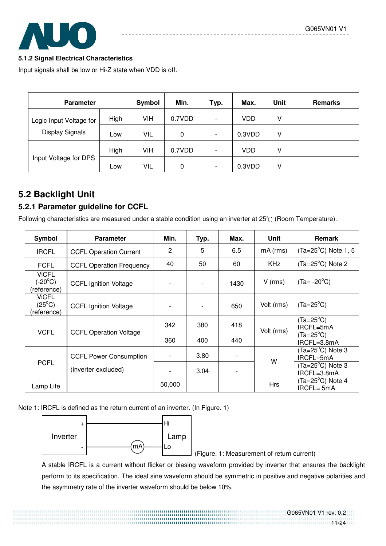

#### **5.1.2 Signal Electrical Characteristics**

Input signals shall be low or Hi-Z state when VDD is off.

| <b>Parameter</b>        | <b>Symbol</b> | Min. | Typ.   | Max.                     | Unit   | <b>Remarks</b> |  |
|-------------------------|---------------|------|--------|--------------------------|--------|----------------|--|
| Logic Input Voltage for | High          | VIH  | 0.7VDD | $\overline{\phantom{a}}$ | VDD    | v              |  |
| Display Signals         | Low           | VIL  | 0      | $\overline{\phantom{a}}$ | 0.3VDD | ٧              |  |
|                         | High          | VIH  | 0.7VDD | $\overline{\phantom{a}}$ | VDD    | ٧              |  |
| Input Voltage for DPS   | Low           | VIL  | 0      | $\overline{\phantom{a}}$ | 0.3VDD | ٧              |  |

# **5.2 Backlight Unit**

#### **5.2.1 Parameter guideline for CCFL**

Following characteristics are measured under a stable condition using an inverter at  $25^{\circ}$  (Room Temperature).

| Symbol                                          | <b>Parameter</b>                | Min.           | Typ. | Max. | <b>Unit</b>                              | <b>Remark</b>                           |
|-------------------------------------------------|---------------------------------|----------------|------|------|------------------------------------------|-----------------------------------------|
| <b>IRCFL</b>                                    | <b>CCFL Operation Current</b>   | $\overline{2}$ | 5    | 6.5  | $mA$ ( $rms$ )                           | $(Ta=25^{\circ}C)$ Note 1, 5            |
| <b>FCFL</b>                                     | <b>CCFL Operation Frequency</b> | 40             | 50   | 60   | <b>KHz</b>                               | $(Ta=25^{\circ}C)$ Note 2               |
| <b>ViCFL</b><br>$(-20^{\circ}C)$<br>(reference) | <b>CCFL Ignition Voltage</b>    |                |      | 1430 | $V$ (rms)                                | $(Ta = -20^{\circ}C)$                   |
| <b>VICFL</b><br>$(25^{\circ}C)$<br>(reference)  | <b>CCFL Ignition Voltage</b>    |                |      | 650  | Volt (rms)                               | $(Ta=25^{\circ}C)$                      |
|                                                 |                                 | 342            | 380  | 418  | Volt (rms)                               | $(Ta=25^{\circ}C)$<br>IRCFL=5mA         |
| <b>VCFL</b>                                     | <b>CCFL Operation Voltage</b>   | 360            | 400  | 440  |                                          | $(Ta=25^{\circ}C)$<br>IRCFL=3.8mA       |
|                                                 | <b>CCFL Power Consumption</b>   | $\overline{a}$ | 3.80 |      | W                                        | $(Ta=25^{\circ}C)$ Note 3<br>IRCFL=5mA  |
| <b>PCFL</b>                                     | (inverter excluded)             | 3.04<br>50,000 |      |      | $(Ta=25^{\circ}C)$ Note 3<br>IRCFL=3.8mA |                                         |
| Lamp Life                                       |                                 |                |      |      | <b>Hrs</b>                               | $(Ta=25^{\circ}C)$ Note 4<br>IRCFL= 5mA |

Note 1: IRCFL is defined as the return current of an inverter. (In Figure. 1)



(Figure. 1: Measurement of return current)

 A stable IRCFL is a current without flicker or biasing waveform provided by inverter that ensures the backlight perform to its specification. The ideal sine waveform should be symmetric in positive and negative polarities and the asymmetry rate of the inverter waveform should be below 10%.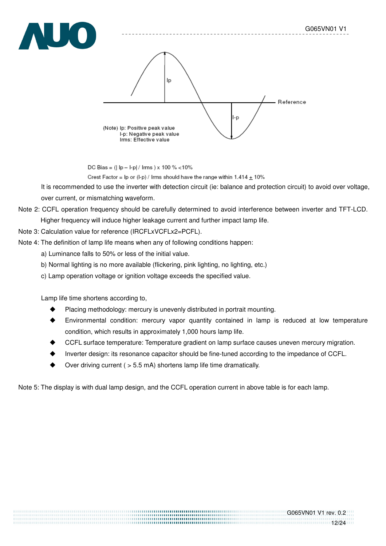



DC Bias =  $(|$  lp - l-p| / lms  $) \times 100 \%$  < 10%

Crest Factor =  $\ln$  or (I-p) / Irms should have the range within 1.414  $\pm$  10%

It is recommended to use the inverter with detection circuit (ie: balance and protection circuit) to avoid over voltage, over current, or mismatching waveform.

#### Note 2: CCFL operation frequency should be carefully determined to avoid interference between inverter and TFT-LCD. Higher frequency will induce higher leakage current and further impact lamp life.

#### Note 3: Calculation value for reference (IRCFLxVCFLx2=PCFL).

Note 4: The definition of lamp life means when any of following conditions happen:

- a) Luminance falls to 50% or less of the initial value.
- b) Normal lighting is no more available (flickering, pink lighting, no lighting, etc.)
- c) Lamp operation voltage or ignition voltage exceeds the specified value.

Lamp life time shortens according to,

- Placing methodology: mercury is unevenly distributed in portrait mounting.
- ! Environmental condition: mercury vapor quantity contained in lamp is reduced at low temperature condition, which results in approximately 1,000 hours lamp life.
- ! CCFL surface temperature: Temperature gradient on lamp surface causes uneven mercury migration.
- Inverter design: its resonance capacitor should be fine-tuned according to the impedance of CCFL.
- Over driving current (  $> 5.5$  mA) shortens lamp life time dramatically.

Note 5: The display is with dual lamp design, and the CCFL operation current in above table is for each lamp.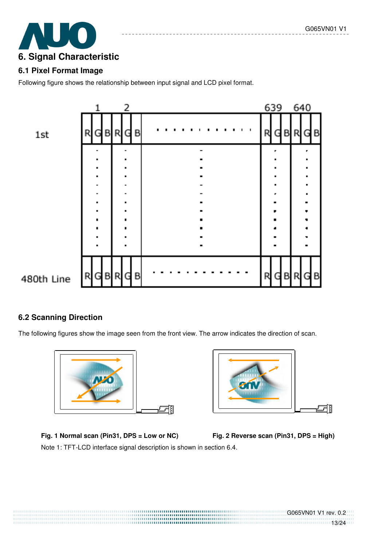

#### **6.1 Pixel Format Image**

Following figure shows the relationship between input signal and LCD pixel format.



#### **6.2 Scanning Direction**

The following figures show the image seen from the front view. The arrow indicates the direction of scan.





Fig. 1 Normal scan (Pin31, DPS = Low or NC) Fig. 2 Reverse scan (Pin31, DPS = High) Note 1: TFT-LCD interface signal description is shown in section 6.4.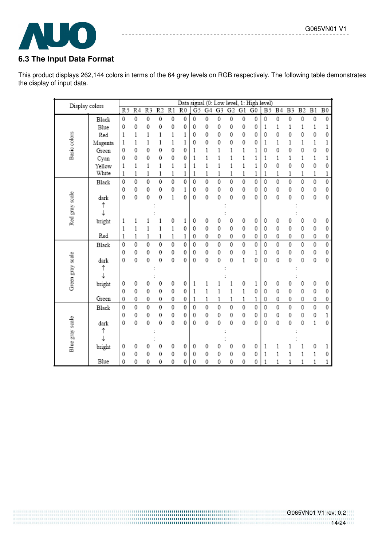

## **6.3 The Input Data Format**

This product displays 262,144 colors in terms of the 64 grey levels on RGB respectively. The following table demonstrates the display of input data.

-------------------------

| Display colors   |         |                |                 |                 |                 |                 |                 |                |    |                |                |    | Data signal (0: Low level, 1: High level) |                 |                |                |                 |                |                 |
|------------------|---------|----------------|-----------------|-----------------|-----------------|-----------------|-----------------|----------------|----|----------------|----------------|----|-------------------------------------------|-----------------|----------------|----------------|-----------------|----------------|-----------------|
|                  |         | R <sub>5</sub> | $\overline{R4}$ | $\overline{R3}$ | $\overline{R2}$ | $\overline{R1}$ | $\overline{R0}$ | G <sub>5</sub> | G4 | G <sub>3</sub> | G <sub>2</sub> | G1 | $\overline{G}0$                           | $\overline{B5}$ | B <sub>4</sub> | B <sub>3</sub> | $\overline{B2}$ | $_{B1}$        | $\overline{B0}$ |
|                  | Black   | 0              | 0               | 0               | 0               | 0               | 0               | 0              | 0  | 0              | 0              | 0  | 0                                         | 0               | 0              | 0              | 0               | $\mathbf 0$    | 0               |
|                  | Blue    | 0              | 0               | 0               | 0               | 0               | 0               | 0              | 0  | 0              | 0              | 0  | 0                                         | 1               | 1              | 1              | 1               | 1              | 1               |
|                  | Red     | $\mathbf{1}$   | 1               | 1               | 1               | 1               | 1               | 0              | 0  | 0              | 0              | 0  | 0                                         | 0               | 0              | 0              | 0               | 0              | 0               |
|                  | Magenta | 1              | 1               | 1               | 1               | 1               | 1               | 0              | 0  | 0              | 0              | 0  | 0                                         | 1               | 1              | 1              | 1               | 1              | 1               |
| Basic colors     | Green   | 0              | 0               | 0               | 0               | 0               | 0               | 1              | 1  | 1              | 1              | 1  | 1                                         | 0               | 0              | 0              | 0               | 0              | 0               |
|                  | Cyan    | 0              | 0               | 0               | 0               | 0               | 0               | $\mathbf{1}$   | 1  | $\mathbf{1}$   | 1              | 1  | 1                                         | 1               | 1              | 1              | $\mathbf 1$     | 1              | 1               |
|                  | Yellow  | 1              | 1               | 1               | 1               | 1               | 1               | 1              | 1  | 1              | 1              | 1  | 1                                         | 0               | 0              | 0              | 0               | $\mathbf 0$    | 0               |
|                  | White   | 1              | 1               | 1               | 1               | 1               | 1               | 1              | 1  | 1              | 1              | 1  | 1                                         | 1               | 1              | 1              | 1               | 1              | 1               |
|                  | Black   | 0              | 0               | 0               | 0               | 0               | 0               | 0              | 0  | 0              | 0              | 0  | 0                                         | 0               | 0              | 0              | 0               | $\overline{0}$ | 0               |
|                  |         | 0              | 0               | 0               | 0               | 0               | 1               | 0              | 0  | 0              | 0              | 0  | 0                                         | 0               | 0              | 0              | 0               | 0              | 0               |
|                  | dark    | 0              | 0               | 0               | 0               | 1               | 0               | 0              | 0  | 0              | 0              | 0  | 0                                         | 0               | 0              | 0              | 0               | $\bf 0$        | 0               |
|                  | ↑       |                |                 |                 |                 |                 |                 |                |    |                |                |    |                                           |                 |                |                |                 |                |                 |
| Red gray scale   |         |                |                 |                 |                 |                 |                 |                |    |                |                |    |                                           |                 |                |                |                 |                |                 |
|                  | bright  | 1              | 1               |                 | 1               | 0               | 1               | 0              | 0  | 0              | 0              | 0  | 0                                         | 0               | 0              | 0              | 0               | 0              | 0               |
|                  |         | 1              | 1               | 1               | 1               | 1               | 0               | 0              | 0  | 0              | 0              | 0  | 0                                         | 0               | 0              | 0              | 0               | 0              | 0               |
|                  | Red     | 1              | 1               | 1               | 1               | 1               | 1               | 0              | 0  | 0              | 0              | 0  | 0                                         | 0               | 0              | 0              | 0               | 0              | 0               |
|                  | Black   | 0              | 0               | 0               | 0               | 0               | 0               | 0              | 0  | 0              | 0              | 0  | 0                                         | 0               | 0              | 0              | 0               | 0              | 0               |
|                  |         | 0              | 0               | 0               | 0               | 0               | 0               | 0              | 0  | 0              | 0              | 0  | 1                                         | 0               | 0              | 0              | 0               | 0              | 0               |
|                  | dark    | 0              | 0               | 0               | 0               | 0               | 0               | 0              | 0  | 0              | 0              | 1  | 0                                         | 0               | 0              | 0              | 0               | 0              | 0               |
|                  | ↑       |                |                 |                 |                 |                 |                 |                |    |                |                |    |                                           |                 |                |                |                 |                |                 |
| Green gray scale |         |                |                 |                 |                 |                 |                 |                |    |                |                |    |                                           |                 |                |                |                 |                |                 |
|                  | bright  | 0              | 0               | 0               | 0               | 0               | 0               | 1              | 1  |                |                | 0  | 1                                         | 0               | 0              | 0              | 0               | 0              | 0               |
|                  |         | 0              | 0               | 0               | 0               | 0               | 0               | 1              | 1  | 1              | 1              | 1  | 0                                         | 0               | 0              | 0              | 0               | 0              | 0               |
|                  | Green   | 0              | 0               | 0               | 0               | 0               | 0               | 1              | 1  | 1              | 1              | 1  | 1                                         | 0               | 0              | 0              | 0               | 0              | 0               |
|                  | Black   | 0              | 0               | 0               | 0               | 0               | 0               | 0              | 0  | 0              | 0              | 0  | 0                                         | 0               | 0              | 0              | 0               | 0              | 0               |
|                  |         | 0              | 0               | 0               | 0               | 0               | 0               | 0              | 0  | 0              | 0              | 0  | 0                                         | 0               | 0              | 0              | 0               | 0              | 1               |
|                  | dark    | 0              | 0               | 0               | 0               | 0               | 0               | $\mathbf{0}$   | 0  | 0              | 0              | 0  | 0                                         | 0               | 0              | 0              | 0               | 1              | 0               |
|                  | ↑       |                |                 |                 |                 |                 |                 |                |    |                |                |    |                                           |                 |                |                |                 |                |                 |
| Blue gray scale  |         |                |                 |                 |                 |                 |                 |                |    |                |                |    |                                           |                 |                |                |                 |                |                 |
|                  | bright  | 0              | 0               | 0               | 0               | 0               | 0               | 0              | 0  | 0              | 0              | 0  | 0                                         | 1               |                |                |                 | 0              |                 |
|                  |         | 0              | 0               | 0               | 0               | 0               | 0               | 0              | 0  | 0              | 0              | 0  | 0                                         | 1               | 1              | 1              | 1               | 1              | 0               |
|                  | Blue    | 0              | 0               | 0               | 0               | 0               | 0               | 0              | 0  | 0              | 0              | 0  | 0                                         | 1               | 1              | 1              | 1               | 1              |                 |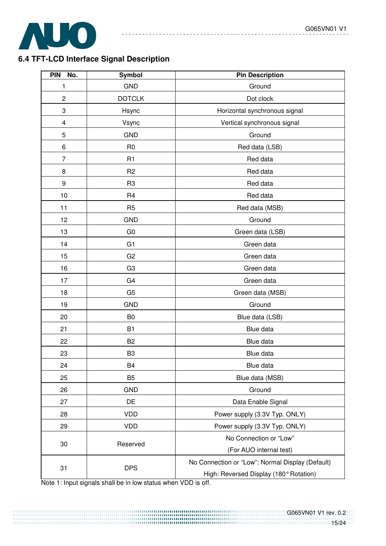

#### **6.4 TFT-LCD Interface Signal Description**

| <b>PIN</b><br>No.       | Symbol         | <b>Pin Description</b>                           |  |  |
|-------------------------|----------------|--------------------------------------------------|--|--|
| 1                       | <b>GND</b>     | Ground                                           |  |  |
| $\overline{c}$          | <b>DOTCLK</b>  | Dot clock                                        |  |  |
| 3                       | Hsync          | Horizontal synchronous signal                    |  |  |
| $\overline{\mathbf{4}}$ | Vsync          | Vertical synchronous signal                      |  |  |
| 5                       | <b>GND</b>     | Ground                                           |  |  |
| 6                       | R <sub>0</sub> | Red data (LSB)                                   |  |  |
| 7                       | R <sub>1</sub> | Red data                                         |  |  |
| 8                       | R <sub>2</sub> | Red data                                         |  |  |
| 9                       | R <sub>3</sub> | Red data                                         |  |  |
| 10                      | R <sub>4</sub> | Red data                                         |  |  |
| 11                      | R <sub>5</sub> | Red data (MSB)                                   |  |  |
| 12                      | <b>GND</b>     | Ground                                           |  |  |
| 13                      | G <sub>0</sub> | Green data (LSB)                                 |  |  |
| 14                      | G <sub>1</sub> | Green data                                       |  |  |
| 15                      | G <sub>2</sub> | Green data                                       |  |  |
| 16                      | G <sub>3</sub> | Green data                                       |  |  |
| 17                      | G <sub>4</sub> | Green data                                       |  |  |
| 18                      | G <sub>5</sub> | Green data (MSB)                                 |  |  |
| 19                      | <b>GND</b>     | Ground                                           |  |  |
| 20                      | B <sub>0</sub> | Blue data (LSB)                                  |  |  |
| 21                      | <b>B1</b>      | Blue data                                        |  |  |
| 22                      | B <sub>2</sub> | Blue data                                        |  |  |
| 23                      | B <sub>3</sub> | Blue data                                        |  |  |
| 24                      | B <sub>4</sub> | Blue data                                        |  |  |
| 25                      | B <sub>5</sub> | Blue data (MSB)                                  |  |  |
| 26                      | <b>GND</b>     | Ground                                           |  |  |
| 27                      | DE             | Data Enable Signal                               |  |  |
| 28                      | <b>VDD</b>     | Power supply (3.3V Typ. ONLY)                    |  |  |
| 29                      | <b>VDD</b>     | Power supply (3.3V Typ. ONLY)                    |  |  |
|                         |                | No Connection or "Low"                           |  |  |
| 30                      | Reserved       | (For AUO internal test)                          |  |  |
| 31                      | <b>DPS</b>     | No Connection or "Low": Normal Display (Default) |  |  |
|                         |                | High: Reversed Display (180° Rotation)           |  |  |

--------------------------------

Note 1: Input signals shall be in low status when VDD is off.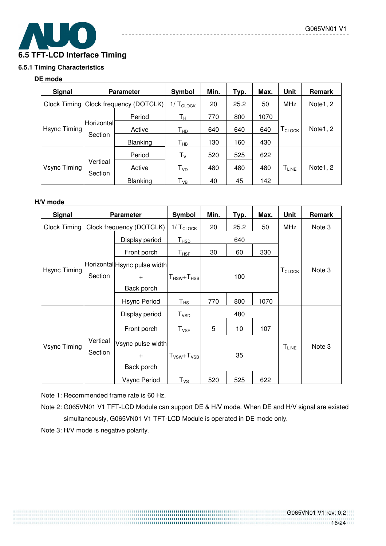

#### **6.5.1 Timing Characteristics**

#### **DE mode**

| Signal       | <b>Parameter</b>                      |                 | Symbol                            | Min. | Typ. | Max. | <b>Unit</b>                  | Remark   |
|--------------|---------------------------------------|-----------------|-----------------------------------|------|------|------|------------------------------|----------|
|              | Clock Timing Clock frequency (DOTCLK) |                 | 1/ Т <u>сьоск</u>                 | 20   | 25.2 | 50   | <b>MHz</b>                   | Note1, 2 |
| Hsync Timing |                                       | Period          | Tн                                | 770  | 800  | 1070 |                              |          |
|              | Horizontal<br>Section                 | Active          | Т <sub>нр</sub>                   | 640  | 640  | 640  | $\Gamma_\text{CLOCK}$        | Note1, 2 |
|              |                                       | Blanking        | $\mathsf{T}_{\mathsf{HB}}$        | 130  | 160  | 430  |                              |          |
| Vsync Timing | Vertical<br>Section                   | Period          | $T_{V}$                           | 520  | 525  | 622  |                              |          |
|              |                                       | Active          | ${\mathsf T}_{\textsf{\tiny VD}}$ | 480  | 480  | 480  | $\mathsf{T}_{\mathsf{LINE}}$ | Note1, 2 |
|              |                                       | <b>Blanking</b> | Т <sub>vв</sub>                   | 40   | 45   | 142  |                              |          |

#### **H/V mode**

| <b>Signal</b> | <b>Parameter</b>         |                              | Symbol                           | Min. | Typ. | Max. | <b>Unit</b>               | Remark |
|---------------|--------------------------|------------------------------|----------------------------------|------|------|------|---------------------------|--------|
| Clock Timing  | Clock frequency (DOTCLK) |                              | $1/\underline{T_{\text{CLOCK}}}$ | 20   | 25.2 | 50   | <b>MHz</b>                | Note 3 |
|               |                          | Display period               | $T_{\texttt{HSD}}$               |      | 640  |      |                           |        |
|               |                          | Front porch                  | $\mathsf{T}_{\mathsf{HSF}}$      | 30   | 60   | 330  |                           |        |
|               |                          | Horizontal Hsync pulse width |                                  |      |      |      |                           |        |
| Hsync Timing  | Section                  | $+$                          | $T_{\rm HSW}$ + $T_{\rm HSB}$    |      | 100  |      | <b>T</b> <sub>CLOCK</sub> | Note 3 |
|               |                          | Back porch                   |                                  |      |      |      |                           |        |
|               |                          | <b>Hsync Period</b>          | $\mathsf{T}_{\mathsf{HS}}$       | 770  | 800  | 1070 |                           |        |
|               |                          | Display period               | T <sub>vsp</sub>                 |      | 480  |      |                           |        |
|               |                          | Front porch                  | $T_{VSF}$                        | 5    | 10   | 107  |                           |        |
| Vsync Timing  | Vertical<br>Section      | Vsync pulse width            |                                  |      |      |      |                           | Note 3 |
|               |                          | $+$                          | $T_{VSW} + T_{VSB}$              |      | 35   |      | $T_{LINE}$                |        |
|               |                          | Back porch                   |                                  |      |      |      |                           |        |
|               |                          | Vsync Period                 | $\mathsf{T}_{\mathsf{VS}}$       | 520  | 525  | 622  |                           |        |

Note 1: Recommended frame rate is 60 Hz.

Note 2: G065VN01 V1 TFT-LCD Module can support DE & H/V mode. When DE and H/V signal are existed simultaneously, G065VN01 V1 TFT-LCD Module is operated in DE mode only.

Note 3: H/V mode is negative polarity.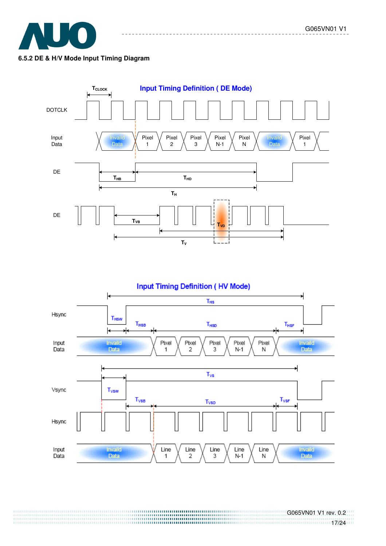





 G065VN01 V1 rev. 0.2 17/24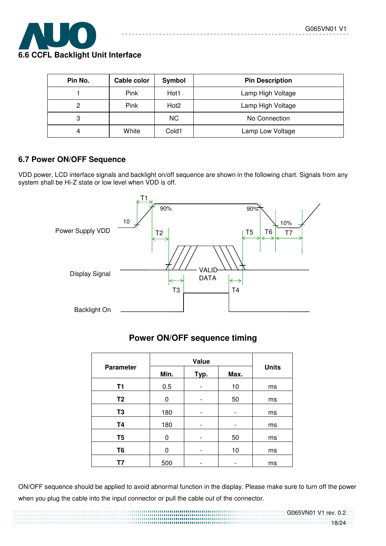

| Pin No. | Cable color | Symbol           | <b>Pin Description</b> |
|---------|-------------|------------------|------------------------|
|         | <b>Pink</b> | Hot1             | Lamp High Voltage      |
| ົ       | <b>Pink</b> | Hot <sub>2</sub> | Lamp High Voltage      |
| 3       |             | NC.              | No Connection          |
|         | White       | Cold1            | Lamp Low Voltage       |

# **6.7 Power ON/OFF Sequence**

VDD power, LCD interface signals and backlight on/off sequence are shown in the following chart. Signals from any system shall be Hi-Z state or low level when VDD is off.



# **Power ON/OFF sequence timing**

| <b>Parameter</b> | Min.<br>Max.<br>Typ. |                          | <b>Units</b> |    |
|------------------|----------------------|--------------------------|--------------|----|
| <b>T1</b>        | 0.5                  |                          | 10           | ms |
| T <sub>2</sub>   | 0                    | $\overline{\phantom{0}}$ | 50           | ms |
| T <sub>3</sub>   | 180                  | -                        |              | ms |
| <b>T4</b>        | 180                  | -                        |              | ms |
| T <sub>5</sub>   | 0                    |                          | 50           | ms |
| T <sub>6</sub>   | 0                    |                          | 10           | ms |
| Τ7               | 500                  |                          |              | ms |

ON/OFF sequence should be applied to avoid abnormal function in the display. Please make sure to turn off the power when you plug the cable into the input connector or pull the cable out of the connector.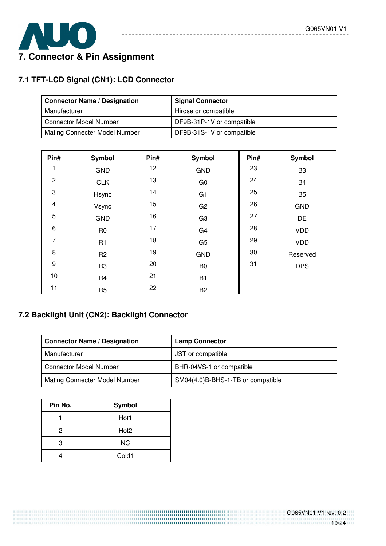

# **7.1 TFT-LCD Signal (CN1): LCD Connector**

| <b>Connector Name / Designation</b> | <b>Signal Connector</b>   |
|-------------------------------------|---------------------------|
| Manufacturer                        | Hirose or compatible      |
| <b>Connector Model Number</b>       | DF9B-31P-1V or compatible |
| Mating Connecter Model Number       | DF9B-31S-1V or compatible |

--------

. . . . . . . . . . . . .

| Pin#                    | <b>Symbol</b>  | Pin# | <b>Symbol</b>  | Pin# | <b>Symbol</b>  |
|-------------------------|----------------|------|----------------|------|----------------|
| 1                       | <b>GND</b>     | 12   | <b>GND</b>     | 23   | B <sub>3</sub> |
| 2                       | <b>CLK</b>     | 13   | G <sub>0</sub> | 24   | <b>B4</b>      |
| 3                       | Hsync          | 14   | G <sub>1</sub> | 25   | B <sub>5</sub> |
| $\overline{\mathbf{4}}$ | Vsync          | 15   | G <sub>2</sub> | 26   | <b>GND</b>     |
| 5                       | <b>GND</b>     | 16   | G <sub>3</sub> | 27   | <b>DE</b>      |
| 6                       | R <sub>0</sub> | 17   | G <sub>4</sub> | 28   | <b>VDD</b>     |
| $\overline{7}$          | R <sub>1</sub> | 18   | G <sub>5</sub> | 29   | <b>VDD</b>     |
| 8                       | R <sub>2</sub> | 19   | <b>GND</b>     | 30   | Reserved       |
| 9                       | R <sub>3</sub> | 20   | B <sub>0</sub> | 31   | <b>DPS</b>     |
| 10                      | R <sub>4</sub> | 21   | B <sub>1</sub> |      |                |
| 11                      | R <sub>5</sub> | 22   | B <sub>2</sub> |      |                |

# **7.2 Backlight Unit (CN2): Backlight Connector**

| <b>Connector Name / Designation</b> | <b>Lamp Connector</b>             |
|-------------------------------------|-----------------------------------|
| Manufacturer                        | JST or compatible                 |
| <b>Connector Model Number</b>       | BHR-04VS-1 or compatible          |
| Mating Connecter Model Number       | SM04(4.0)B-BHS-1-TB or compatible |

| Pin No. | Symbol           |
|---------|------------------|
|         | Hot1             |
| 2       | Hot <sub>2</sub> |
| 3       | NС               |
|         | Cold1            |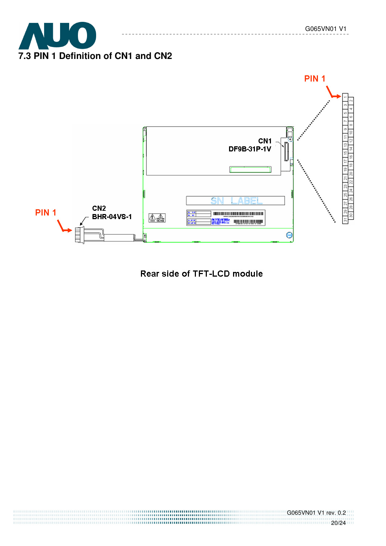



----------

# Rear side of TFT-LCD module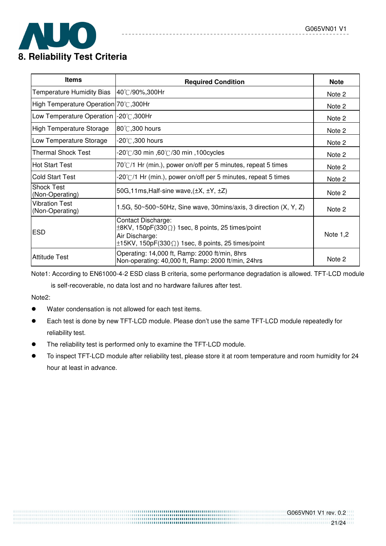

| <b>Items</b>                             | <b>Required Condition</b>                                                                                                                                                        | <b>Note</b> |
|------------------------------------------|----------------------------------------------------------------------------------------------------------------------------------------------------------------------------------|-------------|
| <b>Temperature Humidity Bias</b>         | 40℃/90%,300Hr                                                                                                                                                                    | Note 2      |
| High Temperature Operation 70℃, 300Hr    |                                                                                                                                                                                  | Note 2      |
| Low Temperature Operation                | $-20^{\circ}$ C,300Hr                                                                                                                                                            | Note 2      |
| High Temperature Storage                 | $ 80^{\circ}$ C,300 hours                                                                                                                                                        | Note 2      |
| Low Temperature Storage                  | -20 $^\circ\!{\rm C}$ ,300 hours                                                                                                                                                 | Note 2      |
| <b>Thermal Shock Test</b>                | .20℃/30 min ,60℃/30 min ,100cycles                                                                                                                                               | Note 2      |
| Hot Start Test                           | 70°C/1 Hr (min.), power on/off per 5 minutes, repeat 5 times                                                                                                                     | Note 2      |
| Cold Start Test                          | -20°C/1 Hr (min.), power on/off per 5 minutes, repeat 5 times                                                                                                                    | Note 2      |
| <b>Shock Test</b><br>(Non-Operating)     | 50G, 11ms, Half-sine wave, $(\pm X, \pm Y, \pm Z)$                                                                                                                               | Note 2      |
| <b>Vibration Test</b><br>(Non-Operating) | 1.5G, $50 \times 500 \times 50$ Hz, Sine wave, 30mins/axis, 3 direction $(X, Y, Z)$                                                                                              | Note 2      |
| <b>ESD</b>                               | <b>Contact Discharge:</b><br>$\pm$ 8KV, 150pF(330 $\Omega$ ) 1sec, 8 points, 25 times/point<br>Air Discharge:<br>$\pm$ 15KV, 150pF(330 $\Omega$ ) 1sec, 8 points, 25 times/point | Note $1,2$  |
| Attitude Test                            | Operating: 14,000 ft, Ramp: 2000 ft/min, 8hrs<br>Non-operating: 40,000 ft, Ramp: 2000 ft/min, 24hrs                                                                              | Note 2      |

Note1: According to EN61000-4-2 ESD class B criteria, some performance degradation is allowed. TFT-LCD module

is self-recoverable, no data lost and no hardware failures after test.

Note2:

- Water condensation is not allowed for each test items.
- Each test is done by new TFT-LCD module. Please don't use the same TFT-LCD module repeatedly for reliability test.
- The reliability test is performed only to examine the TFT-LCD module.
- To inspect TFT-LCD module after reliability test, please store it at room temperature and room humidity for 24 hour at least in advance.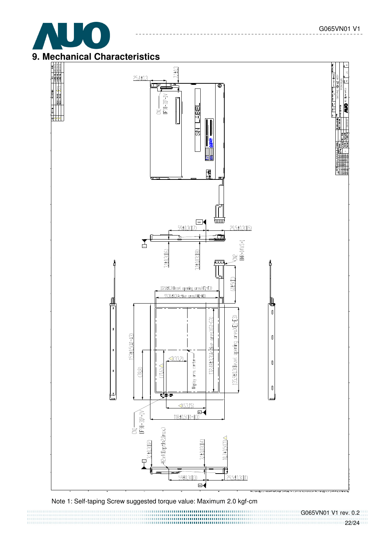





Note 1: Self-taping Screw suggested torque value: Maximum 2.0 kgf-cm<br>
The contractor contractor contractor contractor contractor contractor contractor contractor contractor contractor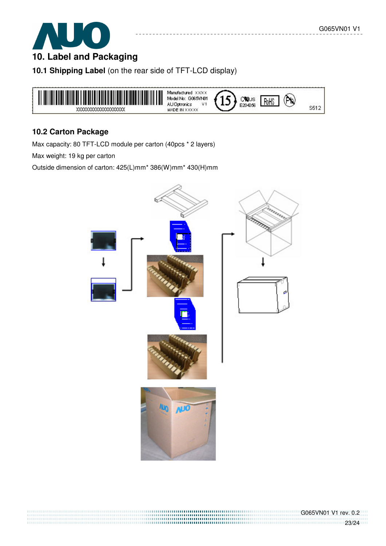

# **10. Label and Packaging**

**10.1 Shipping Label** (on the rear side of TFT-LCD display)



#### **10.2 Carton Package**

Max capacity: 80 TFT-LCD module per carton (40pcs \* 2 layers)

Max weight: 19 kg per carton

Outside dimension of carton: 425(L)mm\* 386(W)mm\* 430(H)mm